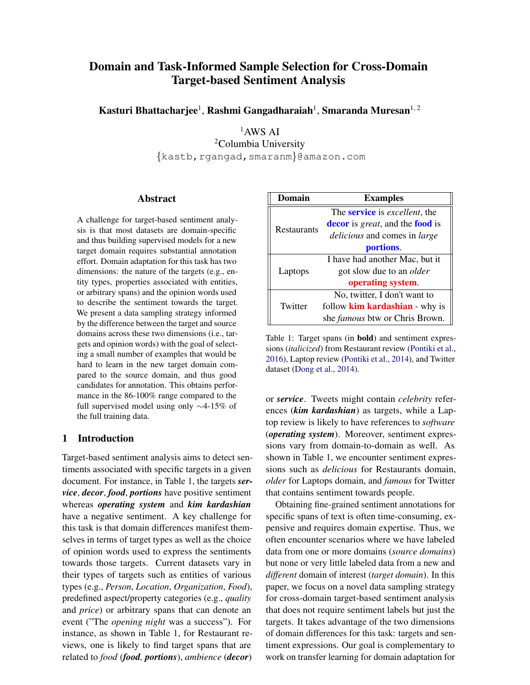# Domain and Task-Informed Sample Selection for Cross-Domain Target-based Sentiment Analysis

Kasturi Bhattacharjee<sup>1</sup>, Rashmi Gangadharaiah<sup>1</sup>, Smaranda Muresan<sup>1, 2</sup>

 $1$  AWS AI

2Columbia University *{*kastb,rgangad,smaranm*}*@amazon.com

#### Abstract

A challenge for target-based sentiment analysis is that most datasets are domain-specific and thus building supervised models for a new target domain requires substantial annotation effort. Domain adaptation for this task has two dimensions: the nature of the targets (e.g., entity types, properties associated with entities, or arbitrary spans) and the opinion words used to describe the sentiment towards the target. We present a data sampling strategy informed by the difference between the target and source domains across these two dimensions (i.e., targets and opinion words) with the goal of selecting a small number of examples that would be hard to learn in the new target domain compared to the source domain, and thus good candidates for annotation. This obtains performance in the 86-100% range compared to the full supervised model using only  $\sim$ 4-15% of the full training data.

## 1 Introduction

Target-based sentiment analysis aims to detect sentiments associated with specific targets in a given document. For instance, in Table 1, the targets *service*, *decor*, *food*, *portions* have positive sentiment whereas *operating system* and *kim kardashian* have a negative sentiment. A key challenge for this task is that domain differences manifest themselves in terms of target types as well as the choice of opinion words used to express the sentiments towards those targets. Current datasets vary in their types of targets such as entities of various types (e.g., *Person*, *Location*, *Organization*, *Food*), predefined aspect/property categories (e.g., *quality* and *price*) or arbitrary spans that can denote an event ("The *opening night* was a success"). For instance, as shown in Table 1, for Restaurant reviews, one is likely to find target spans that are related to *food* (*food, portions*), *ambience* (*decor*)

| Domain      | <b>Examples</b>                                       |  |  |
|-------------|-------------------------------------------------------|--|--|
|             | The <b>service</b> is <i>excellent</i> , the          |  |  |
| Restaurants | <b>decor</b> is <i>great</i> , and the <b>food</b> is |  |  |
|             | <i>delicious</i> and comes in <i>large</i>            |  |  |
|             | portions.                                             |  |  |
|             | I have had another Mac, but it                        |  |  |
| Laptops     | got slow due to an <i>older</i>                       |  |  |
|             | operating system.                                     |  |  |
|             | No, twitter, I don't want to                          |  |  |
| Twitter     | follow <b>kim kardashian</b> - why is                 |  |  |
|             | she <i>famous</i> btw or Chris Brown.                 |  |  |

Table 1: Target spans (in bold) and sentiment expressions (*italicized*) from Restaurant review (Pontiki et al., 2016), Laptop review (Pontiki et al., 2014), and Twitter dataset (Dong et al., 2014).

or *service*. Tweets might contain *celebrity* references (*kim kardashian*) as targets, while a Laptop review is likely to have references to *software* (*operating system*). Moreover, sentiment expressions vary from domain-to-domain as well. As shown in Table 1, we encounter sentiment expressions such as *delicious* for Restaurants domain, *older* for Laptops domain, and *famous* for Twitter that contains sentiment towards people.

Obtaining fine-grained sentiment annotations for specific spans of text is often time-consuming, expensive and requires domain expertise. Thus, we often encounter scenarios where we have labeled data from one or more domains (*source domains*) but none or very little labeled data from a new and *different* domain of interest (*target domain*). In this paper, we focus on a novel data sampling strategy for cross-domain target-based sentiment analysis that does not require sentiment labels but just the targets. It takes advantage of the two dimensions of domain differences for this task: targets and sentiment expressions. Our goal is complementary to work on transfer learning for domain adaptation for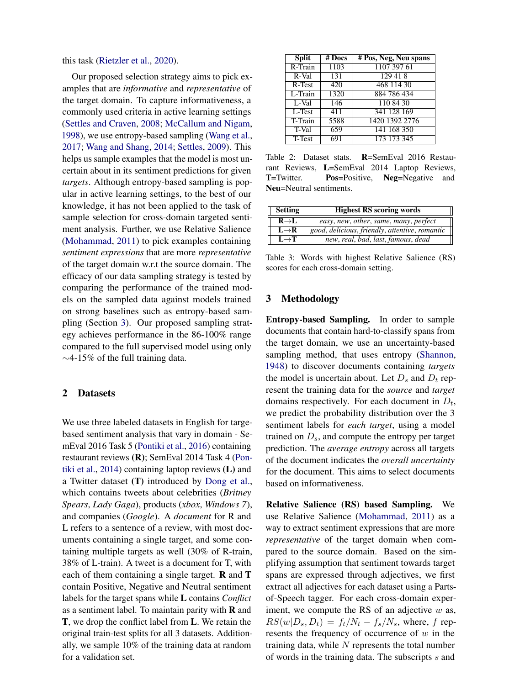this task (Rietzler et al., 2020).

Our proposed selection strategy aims to pick examples that are *informative* and *representative* of the target domain. To capture informativeness, a commonly used criteria in active learning settings (Settles and Craven, 2008; McCallum and Nigam, 1998), we use entropy-based sampling (Wang et al., 2017; Wang and Shang, 2014; Settles, 2009). This helps us sample examples that the model is most uncertain about in its sentiment predictions for given *targets*. Although entropy-based sampling is popular in active learning settings, to the best of our knowledge, it has not been applied to the task of sample selection for cross-domain targeted sentiment analysis. Further, we use Relative Salience (Mohammad, 2011) to pick examples containing *sentiment expressions* that are more *representative* of the target domain w.r.t the source domain. The efficacy of our data sampling strategy is tested by comparing the performance of the trained models on the sampled data against models trained on strong baselines such as entropy-based sampling (Section 3). Our proposed sampling strategy achieves performance in the 86-100% range compared to the full supervised model using only  $\sim$ 4-15% of the full training data.

#### 2 Datasets

We use three labeled datasets in English for targebased sentiment analysis that vary in domain - SemEval 2016 Task 5 (Pontiki et al., 2016) containing restaurant reviews (R); SemEval 2014 Task 4 (Pontiki et al., 2014) containing laptop reviews (L) and a Twitter dataset (T) introduced by Dong et al., which contains tweets about celebrities (*Britney Spears*, *Lady Gaga*), products (*xbox*, *Windows 7*), and companies (*Google*). A *document* for R and L refers to a sentence of a review, with most documents containing a single target, and some containing multiple targets as well (30% of R-train, 38% of L-train). A tweet is a document for T, with each of them containing a single target. R and T contain Positive, Negative and Neutral sentiment labels for the target spans while L contains *Conflict* as a sentiment label. To maintain parity with  **and** T, we drop the conflict label from L. We retain the original train-test splits for all 3 datasets. Additionally, we sample 10% of the training data at random for a validation set.

| <b>Split</b> | $#$ Docs         | # Pos, Neg, Neu spans |
|--------------|------------------|-----------------------|
| R-Train      | 1103             | 1107 397 61           |
| $R-Va$       | 131              | 129418                |
| $R-Test$     | $\overline{420}$ | 468 114 30            |
| L-Train      | 1320             | 884 786 434           |
| L-Val        | 146              | 110 84 30             |
| L-Test       | 411              | 341 128 169           |
| T-Train      | 5588             | 1420 1392 2776        |
| T-Val        | 659              | 141 168 350           |
| T-Test       | 691              | 173 173 345           |

Table 2: Dataset stats. R=SemEval 2016 Restaurant Reviews, L=SemEval 2014 Laptop Reviews, T=Twitter. Pos=Positive, Neg=Negative and Neu=Neutral sentiments.

| Setting           | <b>Highest RS scoring words</b>                |
|-------------------|------------------------------------------------|
| $R \rightarrow L$ | easy, new, other, same, many, perfect          |
| $L \rightarrow R$ | good, delicious, friendly, attentive, romantic |
| $L \rightarrow T$ | new, real, bad, last, famous, dead             |

Table 3: Words with highest Relative Salience (RS) scores for each cross-domain setting.

#### 3 Methodology

Entropy-based Sampling. In order to sample documents that contain hard-to-classify spans from the target domain, we use an uncertainty-based sampling method, that uses entropy (Shannon, 1948) to discover documents containing *targets* the model is uncertain about. Let  $D_s$  and  $D_t$  represent the training data for the *source* and *target* domains respectively. For each document in *Dt*, we predict the probability distribution over the 3 sentiment labels for *each target*, using a model trained on  $D_s$ , and compute the entropy per target prediction. The *average entropy* across all targets of the document indicates the *overall uncertainty* for the document. This aims to select documents based on informativeness.

Relative Salience (RS) based Sampling. We use Relative Salience (Mohammad, 2011) as a way to extract sentiment expressions that are more *representative* of the target domain when compared to the source domain. Based on the simplifying assumption that sentiment towards target spans are expressed through adjectives, we first extract all adjectives for each dataset using a Partsof-Speech tagger. For each cross-domain experiment, we compute the RS of an adjective *w* as,  $RS(w|D_s, D_t) = f_t/N_t - f_s/N_s$ , where, *f* represents the frequency of occurrence of *w* in the training data, while *N* represents the total number of words in the training data. The subscripts *s* and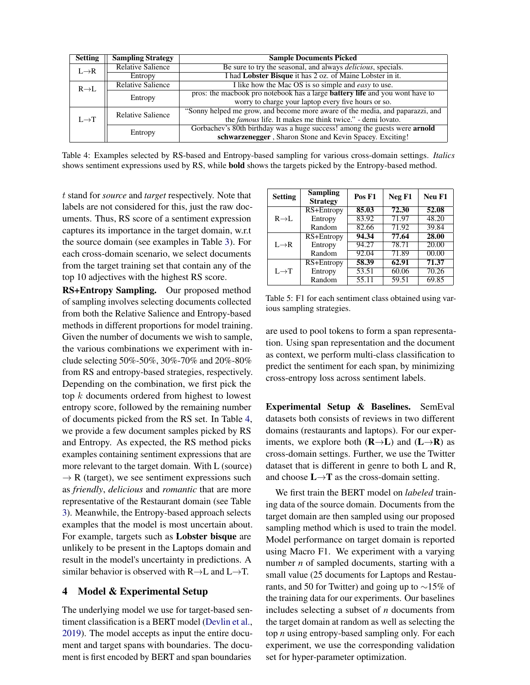| <b>Setting</b>    | <b>Sampling Strategy</b> | <b>Sample Documents Picked</b>                                                      |
|-------------------|--------------------------|-------------------------------------------------------------------------------------|
| $L \rightarrow R$ | <b>Relative Salience</b> | Be sure to try the seasonal, and always <i>delicious</i> , specials.                |
|                   | Entropy                  | I had Lobster Bisque it has 2 oz. of Maine Lobster in it.                           |
| $R \rightarrow L$ | <b>Relative Salience</b> | I like how the Mac OS is so simple and <i>easy</i> to use.                          |
|                   | Entropy                  | pros: the macbook pro notebook has a large <b>battery life</b> and you wont have to |
|                   |                          | worry to charge your laptop every five hours or so.                                 |
|                   | <b>Relative Salience</b> | "Sonny helped me grow, and become more aware of the media, and paparazzi, and       |
| $I \rightarrow T$ |                          | the <i>famous</i> life. It makes me think twice." - demi lovato.                    |
|                   | Entropy                  | Gorbachev's 80th birthday was a huge success! among the guests were arnold          |
|                   |                          | schwarzenegger, Sharon Stone and Kevin Spacey. Exciting!                            |

Table 4: Examples selected by RS-based and Entropy-based sampling for various cross-domain settings. *Italics* shows sentiment expressions used by RS, while bold shows the targets picked by the Entropy-based method.

*t* stand for *source* and *target* respectively. Note that labels are not considered for this, just the raw documents. Thus, RS score of a sentiment expression captures its importance in the target domain, w.r.t the source domain (see examples in Table 3). For each cross-domain scenario, we select documents from the target training set that contain any of the top 10 adjectives with the highest RS score.

RS+Entropy Sampling. Our proposed method of sampling involves selecting documents collected from both the Relative Salience and Entropy-based methods in different proportions for model training. Given the number of documents we wish to sample, the various combinations we experiment with include selecting 50%-50%, 30%-70% and 20%-80% from RS and entropy-based strategies, respectively. Depending on the combination, we first pick the top *k* documents ordered from highest to lowest entropy score, followed by the remaining number of documents picked from the RS set. In Table 4, we provide a few document samples picked by RS and Entropy. As expected, the RS method picks examples containing sentiment expressions that are more relevant to the target domain. With L (source)  $\rightarrow$  R (target), we see sentiment expressions such as *friendly*, *delicious* and *romantic* that are more representative of the Restaurant domain (see Table 3). Meanwhile, the Entropy-based approach selects examples that the model is most uncertain about. For example, targets such as Lobster bisque are unlikely to be present in the Laptops domain and result in the model's uncertainty in predictions. A similar behavior is observed with  $R \rightarrow L$  and  $L \rightarrow T$ .

## 4 Model & Experimental Setup

The underlying model we use for target-based sentiment classification is a BERT model (Devlin et al., 2019). The model accepts as input the entire document and target spans with boundaries. The document is first encoded by BERT and span boundaries

| <b>Setting</b>    | <b>Sampling</b><br><b>Strategy</b> | Pos F1 | Neg F1 | Neu F1 |
|-------------------|------------------------------------|--------|--------|--------|
|                   | RS+Entropy                         | 85.03  | 72.30  | 52.08  |
| $R \rightarrow L$ | Entropy                            | 83.92  | 71.97  | 48.20  |
|                   | Random                             | 82.66  | 71.92  | 39.84  |
| $L \rightarrow R$ | RS+Entropy                         | 94.34  | 77.64  | 28.00  |
|                   | Entropy                            | 94.27  | 78.71  | 20.00  |
|                   | Random                             | 92.04  | 71.89  | 00.00  |
| $L \rightarrow T$ | RS+Entropy                         | 58.39  | 62.91  | 71.37  |
|                   | Entropy                            | 53.51  | 60.06  | 70.26  |
|                   | Random                             | 55.11  | 59.51  | 69.85  |

Table 5: F1 for each sentiment class obtained using various sampling strategies.

are used to pool tokens to form a span representation. Using span representation and the document as context, we perform multi-class classification to predict the sentiment for each span, by minimizing cross-entropy loss across sentiment labels.

Experimental Setup & Baselines. SemEval datasets both consists of reviews in two different domains (restaurants and laptops). For our experiments, we explore both  $(R\rightarrow L)$  and  $(L\rightarrow R)$  as cross-domain settings. Further, we use the Twitter dataset that is different in genre to both L and R, and choose  $L \rightarrow T$  as the cross-domain setting.

We first train the BERT model on *labeled* training data of the source domain. Documents from the target domain are then sampled using our proposed sampling method which is used to train the model. Model performance on target domain is reported using Macro F1. We experiment with a varying number *n* of sampled documents, starting with a small value (25 documents for Laptops and Restaurants, and 50 for Twitter) and going up to  $\sim$ 15% of the training data for our experiments. Our baselines includes selecting a subset of *n* documents from the target domain at random as well as selecting the top *n* using entropy-based sampling only. For each experiment, we use the corresponding validation set for hyper-parameter optimization.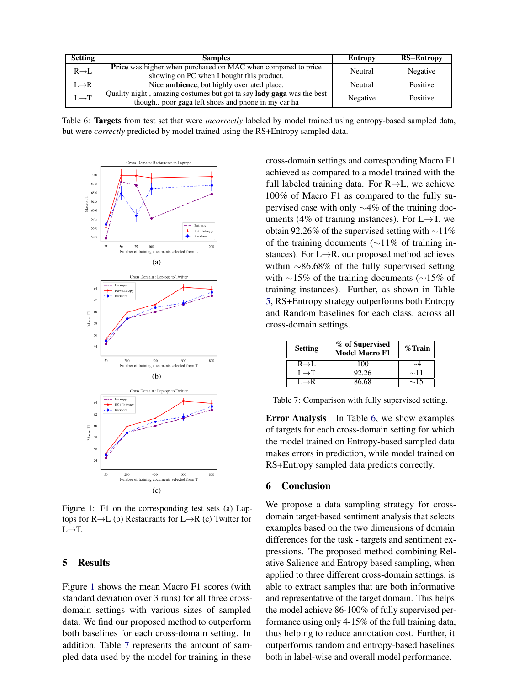| <b>Setting</b>    | <b>Samples</b>                                                                                                                     | Entropy  | RS+Entropy |
|-------------------|------------------------------------------------------------------------------------------------------------------------------------|----------|------------|
| $R \rightarrow L$ | <b>Price</b> was higher when purchased on MAC when compared to price<br>showing on PC when I bought this product.                  | Neutral  | Negative   |
| $L \rightarrow R$ | Nice <b>ambience</b> , but highly overrated place.                                                                                 | Neutral  | Positive   |
| $L \rightarrow T$ | Quality night, amazing costumes but got ta say <b>lady gaga</b> was the best<br>though poor gaga left shoes and phone in my car ha | Negative | Positive   |

Table 6: Targets from test set that were *incorrectly* labeled by model trained using entropy-based sampled data, but were *correctly* predicted by model trained using the RS+Entropy sampled data.



Figure 1: F1 on the corresponding test sets (a) Laptops for  $R \rightarrow L$  (b) Restaurants for  $L \rightarrow R$  (c) Twitter for  $L \rightarrow T$ .

# 5 Results

Figure 1 shows the mean Macro F1 scores (with standard deviation over 3 runs) for all three crossdomain settings with various sizes of sampled data. We find our proposed method to outperform both baselines for each cross-domain setting. In addition, Table 7 represents the amount of sampled data used by the model for training in these cross-domain settings and corresponding Macro F1 achieved as compared to a model trained with the full labeled training data. For  $R \rightarrow L$ , we achieve 100% of Macro F1 as compared to the fully supervised case with only  $\sim$ 4% of the training documents (4% of training instances). For  $L \rightarrow T$ , we obtain 92.26% of the supervised setting with  $\sim$ 11% of the training documents ( $\sim$ 11% of training instances). For  $L \rightarrow R$ , our proposed method achieves within  $\sim$ 86.68% of the fully supervised setting with  $\sim$ 15% of the training documents ( $\sim$ 15% of training instances). Further, as shown in Table 5, RS+Entropy strategy outperforms both Entropy and Random baselines for each class, across all cross-domain settings.

| <b>Setting</b>    | % of Supervised<br><b>Model Macro F1</b> | $%$ Train |
|-------------------|------------------------------------------|-----------|
| $R \rightarrow L$ | 100                                      | ${\sim}4$ |
| $L \rightarrow T$ | 92.26                                    | $\sim$ 11 |
| $L \rightarrow R$ | 86.68                                    | $\sim$ 15 |

Table 7: Comparison with fully supervised setting.

Error Analysis In Table 6, we show examples of targets for each cross-domain setting for which the model trained on Entropy-based sampled data makes errors in prediction, while model trained on RS+Entropy sampled data predicts correctly.

#### 6 Conclusion

We propose a data sampling strategy for crossdomain target-based sentiment analysis that selects examples based on the two dimensions of domain differences for the task - targets and sentiment expressions. The proposed method combining Relative Salience and Entropy based sampling, when applied to three different cross-domain settings, is able to extract samples that are both informative and representative of the target domain. This helps the model achieve 86-100% of fully supervised performance using only 4-15% of the full training data, thus helping to reduce annotation cost. Further, it outperforms random and entropy-based baselines both in label-wise and overall model performance.